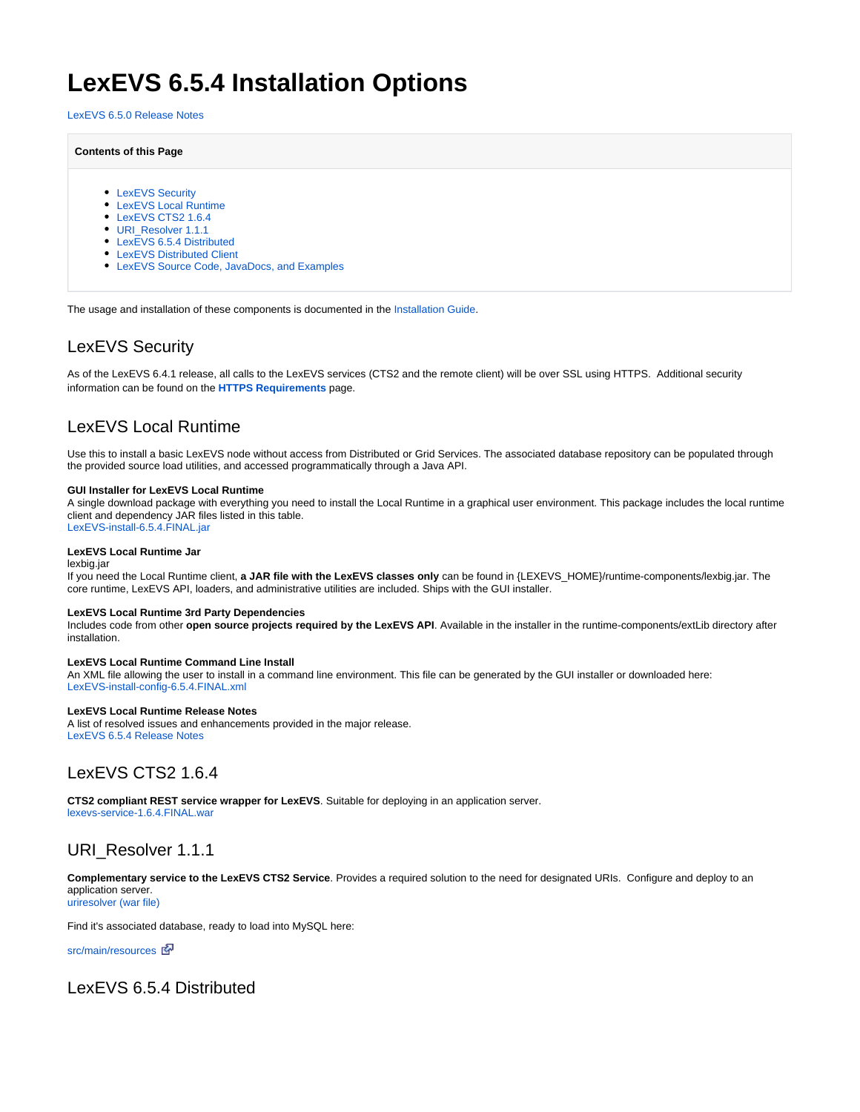# **LexEVS 6.5.4 Installation Options**

[LexEVS 6.5.0 Release Notes](https://wiki.nci.nih.gov/display/LexEVS/LexEVS+6.5.0+Release+Notes)

#### **Contents of this Page**

- [LexEVS Security](#page-0-0)
- [LexEVS Local Runtime](#page-0-1)
- [LexEVS CTS2 1.6.4](#page-0-2)
- [URI\\_Resolver 1.1.1](#page-0-3)
- [LexEVS 6.5.4 Distributed](#page-0-4)
- [LexEVS Distributed Client](#page-1-0)
- [LexEVS Source Code, JavaDocs, and Examples](#page-1-1)

The usage and installation of these components is documented in the [Installation Guide.](https://wiki.nci.nih.gov/display/LexEVS/LexEVS+6.x+Installation+Guide)

# <span id="page-0-0"></span>LexEVS Security

As of the LexEVS 6.4.1 release, all calls to the LexEVS services (CTS2 and the remote client) will be over SSL using HTTPS. Additional security information can be found on the **[HTTPS Requirements](https://wiki.nci.nih.gov/display/LexEVS/Remote+Client+HTTPS+Requirements)** page.

# <span id="page-0-1"></span>LexEVS Local Runtime

Use this to install a basic LexEVS node without access from Distributed or Grid Services. The associated database repository can be populated through the provided source load utilities, and accessed programmatically through a Java API.

#### **GUI Installer for LexEVS Local Runtime**

A single download package with everything you need to install the Local Runtime in a graphical user environment. This package includes the local runtime client and dependency JAR files listed in this table. [LexEVS-install-6.5.4.FINAL.jar](https://cbiit-download.nci.nih.gov/evs/LexEVS/v6.5/6.5.4/Release/LexEVS-install-6.5.4.FINAL.jar)

#### **LexEVS Local Runtime Jar**

#### lexbig.jar

If you need the Local Runtime client, **a JAR file with the LexEVS classes only** can be found in {LEXEVS\_HOME}/runtime-components/lexbig.jar. The core runtime, LexEVS API, loaders, and administrative utilities are included. Ships with the GUI installer.

#### **LexEVS Local Runtime 3rd Party Dependencies**

Includes code from other **open source projects required by the LexEVS API**. Available in the installer in the runtime-components/extLib directory after installation.

#### **LexEVS Local Runtime Command Line Install**

An XML file allowing the user to install in a command line environment. This file can be generated by the GUI installer or downloaded here[:](http://cbiit-download.nci.nih.gov/evs/LexEVS/v6.1/Release/LexEVS-install-config-6.1.xml) [LexEVS-install-config-6.5.4.FINAL.xml](https://cbiit-download.nci.nih.gov/evs/LexEVS/v6.5/6.5.4/Release/LexEVS-install-config-6.5.4.FINAL.xml)

#### **LexEVS Local Runtime Release Notes**

A list of resolved issues and enhancements provided in the major release. [LexEVS 6.5.4 Release Notes](https://wiki.nci.nih.gov/display/LexEVS/LexEVS+6.5.4+Release+Notes)

### <span id="page-0-2"></span>LexEVS CTS2 1.6.4

**CTS2 compliant REST service wrapper for LexEVS**. Suitable for deploying in an application server. [lexevs-service-1.6.4.FINAL.war](https://cbiit-download.nci.nih.gov/evs/LexEVS/v6.5/6.5.4/Release/lexevs-service-1.6.4.FINAL.war)

### <span id="page-0-3"></span>URI Resolver 1.1.1

**Complementary service to the LexEVS CTS2 Service**. Provides a required solution to the need for designated URIs. Configure and deploy to an application server. [uriresolver \(war file\)](https://cbiit-download.nci.nih.gov/evs/LexEVS/v6.5/6.5.2/Release/URI_Resolver-1.1.1.war)

Find it's associated database, ready to load into MySQL here:

[src/main/resources](https://github.com/cts2/URI_Resolver/tree/master/src/main/resources)

### <span id="page-0-4"></span>LexEVS 6.5.4 Distributed